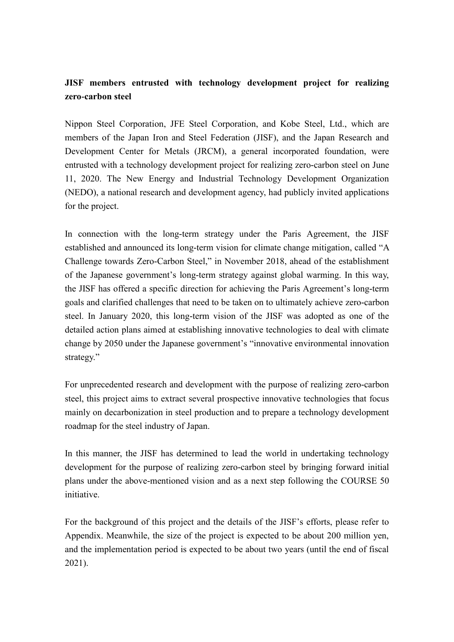# **JISF members entrusted with technology development project for realizing zero-carbon steel**

Nippon Steel Corporation, JFE Steel Corporation, and Kobe Steel, Ltd., which are members of the Japan Iron and Steel Federation (JISF), and the Japan Research and Development Center for Metals (JRCM), a general incorporated foundation, were entrusted with a technology development project for realizing zero-carbon steel on June 11, 2020. The New Energy and Industrial Technology Development Organization (NEDO), a national research and development agency, had publicly invited applications for the project.

In connection with the long-term strategy under the Paris Agreement, the JISF established and announced its long-term vision for climate change mitigation, called "A Challenge towards Zero-Carbon Steel," in November 2018, ahead of the establishment of the Japanese government's long-term strategy against global warming. In this way, the JISF has offered a specific direction for achieving the Paris Agreement's long-term goals and clarified challenges that need to be taken on to ultimately achieve zero-carbon steel. In January 2020, this long-term vision of the JISF was adopted as one of the detailed action plans aimed at establishing innovative technologies to deal with climate change by 2050 under the Japanese government's "innovative environmental innovation strategy."

For unprecedented research and development with the purpose of realizing zero-carbon steel, this project aims to extract several prospective innovative technologies that focus mainly on decarbonization in steel production and to prepare a technology development roadmap for the steel industry of Japan.

In this manner, the JISF has determined to lead the world in undertaking technology development for the purpose of realizing zero-carbon steel by bringing forward initial plans under the above-mentioned vision and as a next step following the COURSE 50 initiative.

For the background of this project and the details of the JISF's efforts, please refer to Appendix. Meanwhile, the size of the project is expected to be about 200 million yen, and the implementation period is expected to be about two years (until the end of fiscal 2021).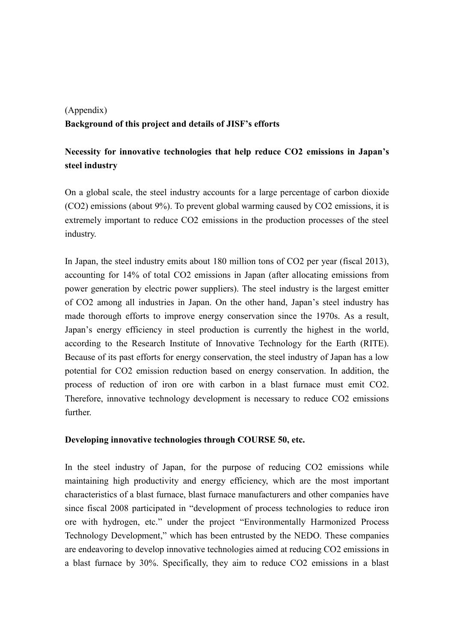# (Appendix) **Background of this project and details of JISF's efforts**

# **Necessity for innovative technologies that help reduce CO2 emissions in Japan's steel industry**

On a global scale, the steel industry accounts for a large percentage of carbon dioxide (CO2) emissions (about 9%). To prevent global warming caused by CO2 emissions, it is extremely important to reduce CO2 emissions in the production processes of the steel industry.

In Japan, the steel industry emits about 180 million tons of CO2 per year (fiscal 2013), accounting for 14% of total CO2 emissions in Japan (after allocating emissions from power generation by electric power suppliers). The steel industry is the largest emitter of CO2 among all industries in Japan. On the other hand, Japan's steel industry has made thorough efforts to improve energy conservation since the 1970s. As a result, Japan's energy efficiency in steel production is currently the highest in the world, according to the Research Institute of Innovative Technology for the Earth (RITE). Because of its past efforts for energy conservation, the steel industry of Japan has a low potential for CO2 emission reduction based on energy conservation. In addition, the process of reduction of iron ore with carbon in a blast furnace must emit CO2. Therefore, innovative technology development is necessary to reduce CO2 emissions further.

#### **Developing innovative technologies through COURSE 50, etc.**

In the steel industry of Japan, for the purpose of reducing CO2 emissions while maintaining high productivity and energy efficiency, which are the most important characteristics of a blast furnace, blast furnace manufacturers and other companies have since fiscal 2008 participated in "development of process technologies to reduce iron ore with hydrogen, etc." under the project "Environmentally Harmonized Process Technology Development," which has been entrusted by the NEDO. These companies are endeavoring to develop innovative technologies aimed at reducing CO2 emissions in a blast furnace by 30%. Specifically, they aim to reduce CO2 emissions in a blast